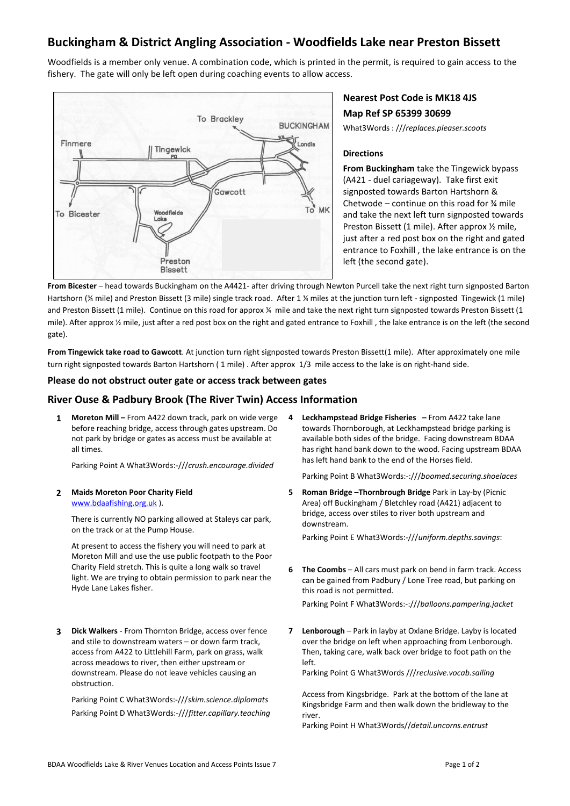# **Buckingham & District Angling Association - Woodfields Lake near Preston Bissett**

Woodfields is a member only venue. A combination code, which is printed in the permit, is required to gain access to the fishery. The gate will only be left open during coaching events to allow access.



# **Nearest Post Code is MK18 4JS Map Ref SP 65399 30699**

What3Words : ///*replaces.pleaser.scoots*

#### **Directions**

**From Buckingham** take the Tingewick bypass (A421 - duel cariageway). Take first exit signposted towards Barton Hartshorn & Chetwode – continue on this road for ¾ mile and take the next left turn signposted towards Preston Bissett (1 mile). After approx ½ mile, just after a red post box on the right and gated entrance to Foxhill , the lake entrance is on the left (the second gate).

**From Bicester** – head towards Buckingham on the A4421- after driving through Newton Purcell take the next right turn signposted Barton Hartshorn (¾ mile) and Preston Bissett (3 mile) single track road. After 1 ¼ miles at the junction turn left - signposted Tingewick (1 mile) and Preston Bissett (1 mile). Continue on this road for approx ¼ mile and take the next right turn signposted towards Preston Bissett (1 mile). After approx ½ mile, just after a red post box on the right and gated entrance to Foxhill , the lake entrance is on the left (the second gate).

**From Tingewick take road to Gawcott**. At junction turn right signposted towards Preston Bissett(1 mile). After approximately one mile turn right signposted towards Barton Hartshorn ( 1 mile) . After approx 1/3 mile access to the lake is on right-hand side.

#### **Please do not obstruct outer gate or access track between gates**

### **River Ouse & Padbury Brook (The River Twin) Access Information**

**1 Moreton Mill –** From A422 down track, park on wide verge before reaching bridge, access through gates upstream. Do not park by bridge or gates as access must be available at all times.

Parking Point A What3Words:-///*crush.encourage.divided*

**2 Maids Moreton Poor Charity Field**  [www.bdaafishing.org.uk](http://www.bdaafishing.org.uk/) ).

> There is currently NO parking allowed at Staleys car park, on the track or at the Pump House.

> At present to access the fishery you will need to park at Moreton Mill and use the use public footpath to the Poor Charity Field stretch. This is quite a long walk so travel light. We are trying to obtain permission to park near the Hyde Lane Lakes fisher.

**3 Dick Walkers** - From Thornton Bridge, access over fence and stile to downstream waters – or down farm track, access from A422 to Littlehill Farm, park on grass, walk across meadows to river, then either upstream or downstream. Please do not leave vehicles causing an obstruction.

Parking Point C What3Words:-///*skim.science.diplomats* Parking Point D What3Words:-///*fitter.capillary.teaching* **4 Leckhampstead Bridge Fisheries –** From A422 take lane towards Thornborough, at Leckhampstead bridge parking is available both sides of the bridge. Facing downstream BDAA has right hand bank down to the wood. Facing upstream BDAA has left hand bank to the end of the Horses field.

Parking Point B What3Words:-:///*boomed.securing.shoelaces*

**5 Roman Bridge** –**Thornbrough Bridge** Park in Lay-by (Picnic Area) off Buckingham / Bletchley road (A421) adjacent to bridge, access over stiles to river both upstream and downstream.

Parking Point E What3Words:-///*uniform.depths.savings*:

**6 The Coombs** – All cars must park on bend in farm track. Access can be gained from Padbury / Lone Tree road, but parking on this road is not permitted.

Parking Point F What3Words:-:///*balloons.pampering.jacket*

**7 Lenborough** – Park in layby at Oxlane Bridge. Layby is located over the bridge on left when approaching from Lenborough. Then, taking care, walk back over bridge to foot path on the left.

Parking Point G What3Words ///*reclusive.vocab.sailing*

Access from Kingsbridge. Park at the bottom of the lane at Kingsbridge Farm and then walk down the bridleway to the river.

Parking Point H What3Words//*detail.uncorns.entrust*